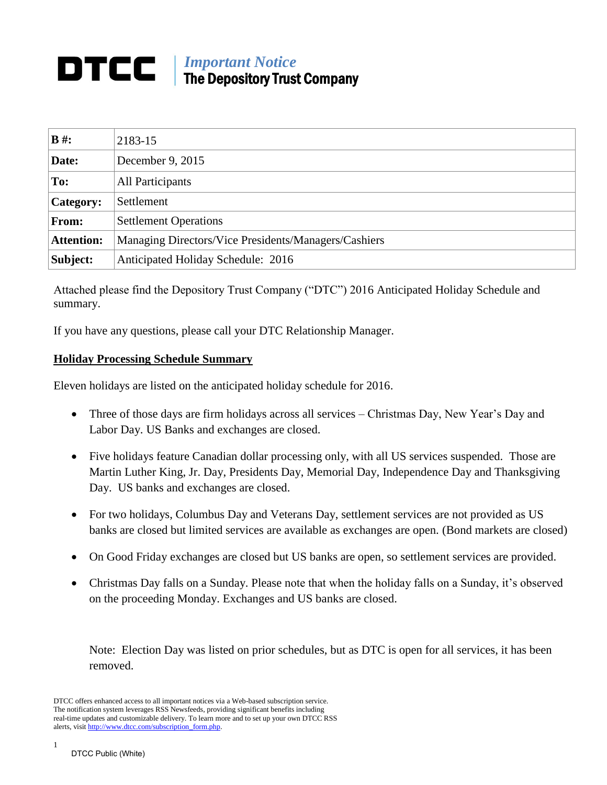## *Important Notice* DTCC The Depository Trust Company

| $B#$ :            | 2183-15                                              |  |
|-------------------|------------------------------------------------------|--|
| Date:             | December 9, 2015                                     |  |
| To:               | All Participants                                     |  |
| <b>Category:</b>  | Settlement                                           |  |
| <b>From:</b>      | <b>Settlement Operations</b>                         |  |
| <b>Attention:</b> | Managing Directors/Vice Presidents/Managers/Cashiers |  |
| Subject:          | Anticipated Holiday Schedule: 2016                   |  |

Attached please find the Depository Trust Company ("DTC") 2016 Anticipated Holiday Schedule and summary.

If you have any questions, please call your DTC Relationship Manager.

## **Holiday Processing Schedule Summary**

Eleven holidays are listed on the anticipated holiday schedule for 2016.

- Three of those days are firm holidays across all services Christmas Day, New Year's Day and Labor Day. US Banks and exchanges are closed.
- Five holidays feature Canadian dollar processing only, with all US services suspended. Those are Martin Luther King, Jr. Day, Presidents Day, Memorial Day, Independence Day and Thanksgiving Day. US banks and exchanges are closed.
- For two holidays, Columbus Day and Veterans Day, settlement services are not provided as US banks are closed but limited services are available as exchanges are open. (Bond markets are closed)
- On Good Friday exchanges are closed but US banks are open, so settlement services are provided.
- Christmas Day falls on a Sunday. Please note that when the holiday falls on a Sunday, it's observed on the proceeding Monday. Exchanges and US banks are closed.

Note: Election Day was listed on prior schedules, but as DTC is open for all services, it has been removed.

DTCC offers enhanced access to all important notices via a Web-based subscription service. The notification system leverages RSS Newsfeeds, providing significant benefits including real-time updates and customizable delivery. To learn more and to set up your own DTCC RSS alerts, visit [http://www.dtcc.com/subscription\\_form.php.](http://www.dtcc.com/subscription_form.php)

1